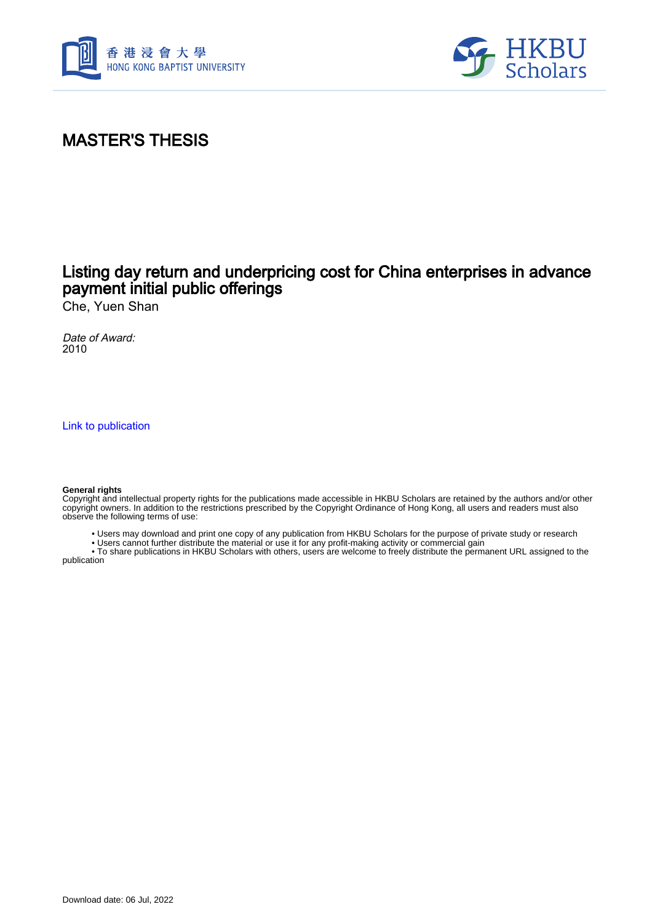



# MASTER'S THESIS

# Listing day return and underpricing cost for China enterprises in advance payment initial public offerings

Che, Yuen Shan

Date of Award: 2010

[Link to publication](https://scholars.hkbu.edu.hk/en/studentTheses/06031b0b-9e2c-4b0a-9f89-a160e9f70c9e)

#### **General rights**

Copyright and intellectual property rights for the publications made accessible in HKBU Scholars are retained by the authors and/or other copyright owners. In addition to the restrictions prescribed by the Copyright Ordinance of Hong Kong, all users and readers must also observe the following terms of use:

• Users may download and print one copy of any publication from HKBU Scholars for the purpose of private study or research

• Users cannot further distribute the material or use it for any profit-making activity or commercial gain

 • To share publications in HKBU Scholars with others, users are welcome to freely distribute the permanent URL assigned to the publication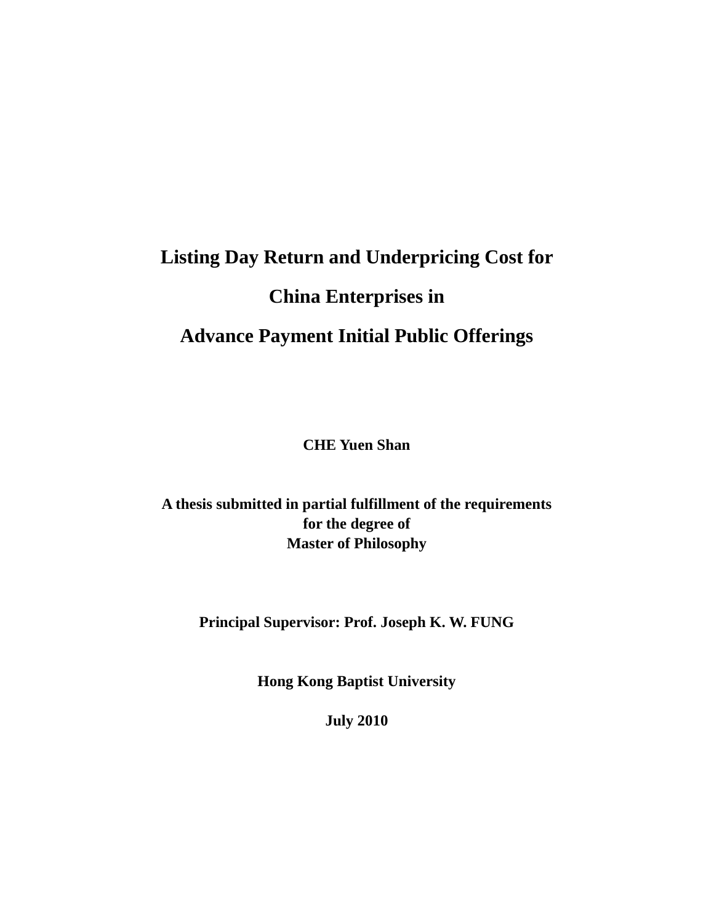# **Listing Day Return and Underpricing Cost for China Enterprises in**

# **Advance Payment Initial Public Offerings**

**CHE Yuen Shan** 

### **A thesis submitted in partial fulfillment of the requirements for the degree of Master of Philosophy**

**Principal Supervisor: Prof. Joseph K. W. FUNG** 

**Hong Kong Baptist University** 

**July 2010**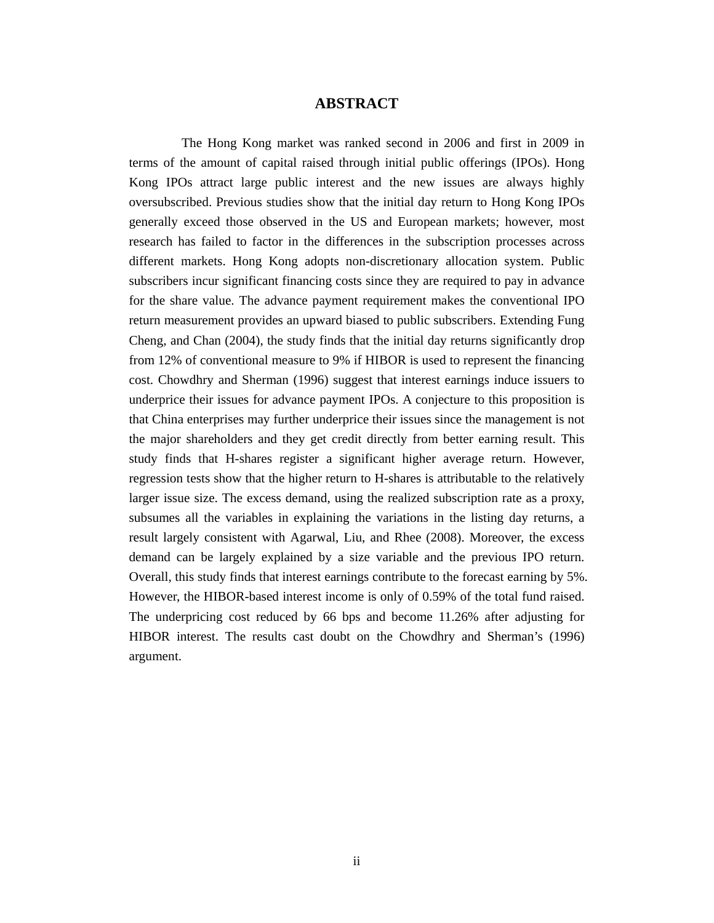#### **ABSTRACT**

 The Hong Kong market was ranked second in 2006 and first in 2009 in terms of the amount of capital raised through initial public offerings (IPOs). Hong Kong IPOs attract large public interest and the new issues are always highly oversubscribed. Previous studies show that the initial day return to Hong Kong IPOs generally exceed those observed in the US and European markets; however, most research has failed to factor in the differences in the subscription processes across different markets. Hong Kong adopts non-discretionary allocation system. Public subscribers incur significant financing costs since they are required to pay in advance for the share value. The advance payment requirement makes the conventional IPO return measurement provides an upward biased to public subscribers. Extending Fung Cheng, and Chan (2004), the study finds that the initial day returns significantly drop from 12% of conventional measure to 9% if HIBOR is used to represent the financing cost. Chowdhry and Sherman (1996) suggest that interest earnings induce issuers to underprice their issues for advance payment IPOs. A conjecture to this proposition is that China enterprises may further underprice their issues since the management is not the major shareholders and they get credit directly from better earning result. This study finds that H-shares register a significant higher average return. However, regression tests show that the higher return to H-shares is attributable to the relatively larger issue size. The excess demand, using the realized subscription rate as a proxy, subsumes all the variables in explaining the variations in the listing day returns, a result largely consistent with Agarwal, Liu, and Rhee (2008). Moreover, the excess demand can be largely explained by a size variable and the previous IPO return. Overall, this study finds that interest earnings contribute to the forecast earning by 5%. However, the HIBOR-based interest income is only of 0.59% of the total fund raised. The underpricing cost reduced by 66 bps and become 11.26% after adjusting for HIBOR interest. The results cast doubt on the Chowdhry and Sherman's (1996) argument.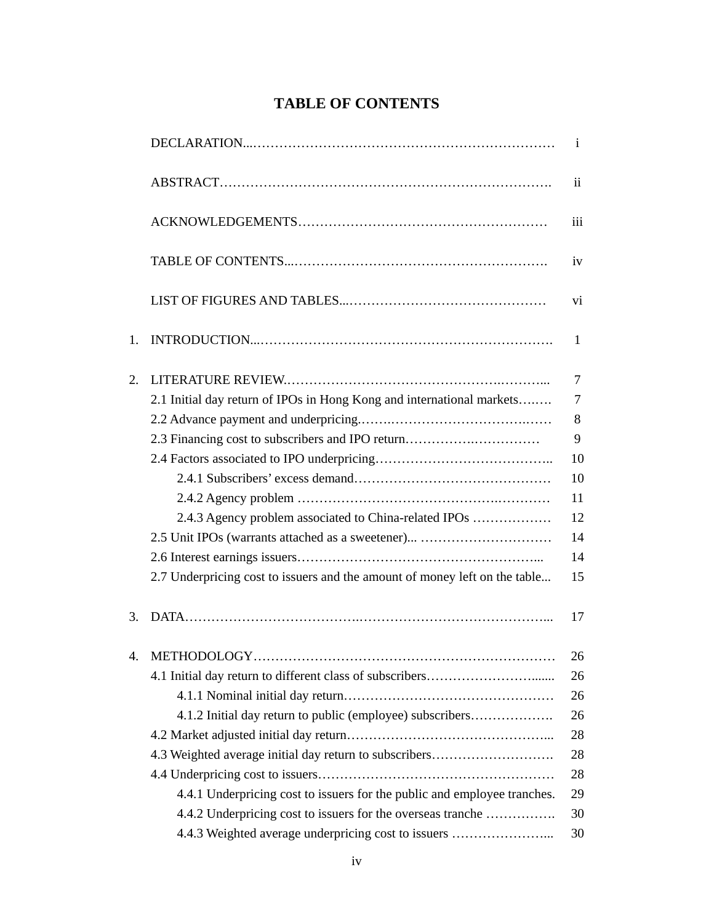## **TABLE OF CONTENTS**

|    |                                                                            | $\mathbf{i}$  |
|----|----------------------------------------------------------------------------|---------------|
|    |                                                                            | $\mathbf{ii}$ |
|    |                                                                            | iii           |
|    |                                                                            | iv            |
|    |                                                                            | vi            |
| 1. |                                                                            | 1             |
| 2. |                                                                            | 7             |
|    | 2.1 Initial day return of IPOs in Hong Kong and international markets      | 7             |
|    |                                                                            | 8             |
|    | 2.3 Financing cost to subscribers and IPO return                           | 9             |
|    |                                                                            | 10            |
|    |                                                                            | 10            |
|    |                                                                            | 11            |
|    | 2.4.3 Agency problem associated to China-related IPOs                      | 12            |
|    | 2.5 Unit IPOs (warrants attached as a sweetener)                           | 14            |
|    |                                                                            | 14            |
|    | 2.7 Underpricing cost to issuers and the amount of money left on the table | 15            |
| 3. |                                                                            | 17            |
|    |                                                                            | 26            |
|    |                                                                            | 26            |
|    |                                                                            | 26            |
|    | 4.1.2 Initial day return to public (employee) subscribers                  | 26            |
|    |                                                                            | 28            |
|    | 4.3 Weighted average initial day return to subscribers                     | 28            |
|    |                                                                            | 28            |
|    | 4.4.1 Underpricing cost to issuers for the public and employee tranches.   | 29            |
|    | 4.4.2 Underpricing cost to issuers for the overseas tranche                | 30            |
|    | 4.4.3 Weighted average underpricing cost to issuers                        | 30            |